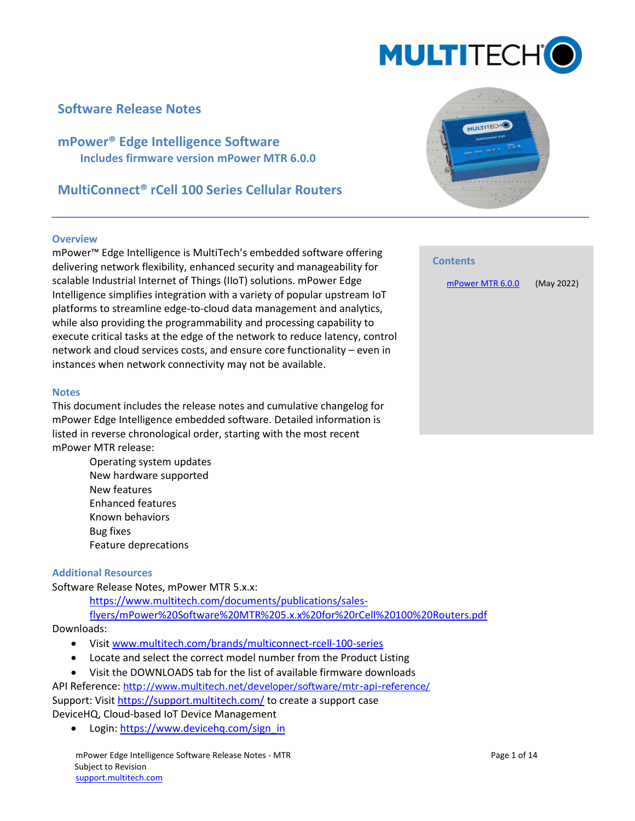

## **Software Release Notes**

**mPower® Edge Intelligence Software Includes firmware version mPower MTR 6.0.0**

## **MultiConnect® rCell 100 Series Cellular Routers**

#### **Overview**

mPower™ Edge Intelligence is MultiTech's embedded software offering delivering network flexibility, enhanced security and manageability for scalable Industrial Internet of Things (IIoT) solutions. mPower Edge Intelligence simplifies integration with a variety of popular upstream IoT platforms to streamline edge-to-cloud data management and analytics, while also providing the programmability and processing capability to execute critical tasks at the edge of the network to reduce latency, control network and cloud services costs, and ensure core functionality – even in instances when network connectivity may not be available.

#### **Notes**

This document includes the release notes and cumulative changelog for mPower Edge Intelligence embedded software. Detailed information is listed in reverse chronological order, starting with the most recent mPower MTR release:

> Operating system updates New hardware supported New features Enhanced features Known behaviors Bug fixes Feature deprecations

#### **Additional Resources**

Software Release Notes, mPower MTR 5.x.x:

[https://www.multitech.com/documents/publications/sales](https://www.multitech.com/documents/publications/sales-flyers/mPower%20Software%20MTR%205.x.x%20for%20rCell%20100%20Routers.pdf)[flyers/mPower%20Software%20MTR%205.x.x%20for%20rCell%20100%20Routers.pdf](https://www.multitech.com/documents/publications/sales-flyers/mPower%20Software%20MTR%205.x.x%20for%20rCell%20100%20Routers.pdf)

Downloads:

- Visit [www.multitech.com/brands/multiconnect-rcell-100-series](http://www.multitech.com/brands/multiconnect-rcell-100-series)
- Locate and select the correct model number from the Product Listing
- Visit the DOWNLOADS tab for the list of available firmware downloads

API Reference: <http://www.multitech.net/developer/software/mtr-api-reference/> Support: Visit<https://support.multitech.com/> to create a support case DeviceHQ, Cloud-based IoT Device Management

• Login[: https://www.devicehq.com/sign\\_in](https://www.devicehq.com/sign_in)



# **Contents** [mPower MTR 6.0.0](#page-1-0) (May 2022)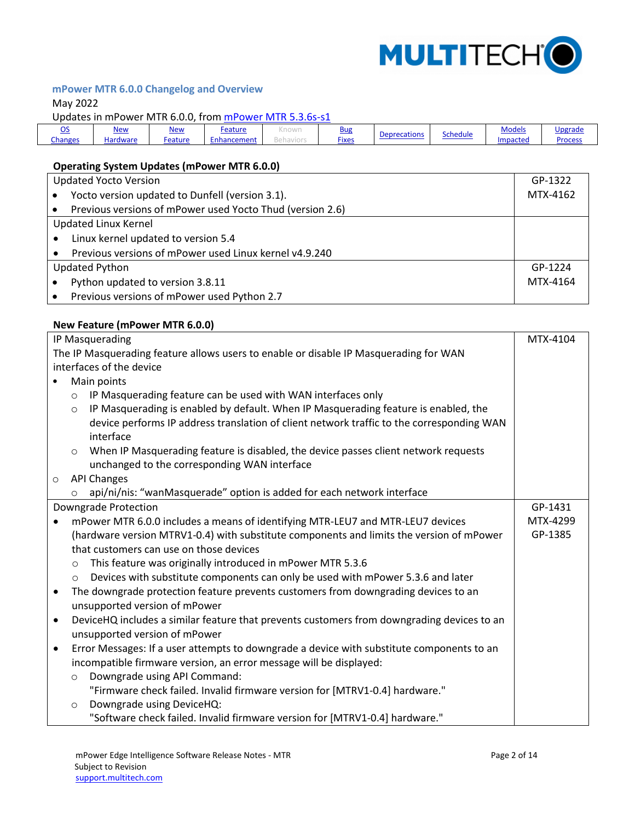

## <span id="page-1-0"></span>**mPower MTR 6.0.0 Changelog and Overview**

## May 2022

Updates in mPower MTR 6.0.0, from [mPower MTR 5.3.6s-s1](https://www.multitech.com/documents/publications/sales-flyers/mPower%20Software%20MTR%205.x.x%20for%20rCell%20100%20Routers.pdf)

| - -<br><u>يب</u> | <u>New</u> | New     | Feature     | . | <b>Bug</b>   |  | <b>Deprecations</b> |          | <b>Models</b> | Upgrade |
|------------------|------------|---------|-------------|---|--------------|--|---------------------|----------|---------------|---------|
| <b>Changes</b>   | Hardware   | Feature | Enhancement |   | <b>Fixes</b> |  | Schedule            | Impacted | Proces:       |         |

## <span id="page-1-1"></span>**Operating System Updates (mPower MTR 6.0.0)**

| <b>Updated Yocto Version</b> |                                                           | GP-1322  |
|------------------------------|-----------------------------------------------------------|----------|
|                              | Yocto version updated to Dunfell (version 3.1).           | MTX-4162 |
|                              | Previous versions of mPower used Yocto Thud (version 2.6) |          |
| <b>Updated Linux Kernel</b>  |                                                           |          |
|                              | Linux kernel updated to version 5.4                       |          |
|                              | Previous versions of mPower used Linux kernel v4.9.240    |          |
| <b>Updated Python</b>        |                                                           | GP-1224  |
|                              | Python updated to version 3.8.11                          | MTX-4164 |
|                              | Previous versions of mPower used Python 2.7               |          |

#### <span id="page-1-2"></span>**New Feature (mPower MTR 6.0.0)**

| IP Masquerading |                                                                                                |          |
|-----------------|------------------------------------------------------------------------------------------------|----------|
|                 | The IP Masquerading feature allows users to enable or disable IP Masquerading for WAN          |          |
|                 | interfaces of the device                                                                       |          |
|                 | Main points                                                                                    |          |
|                 | IP Masquerading feature can be used with WAN interfaces only<br>$\circ$                        |          |
|                 | IP Masquerading is enabled by default. When IP Masquerading feature is enabled, the<br>$\circ$ |          |
|                 | device performs IP address translation of client network traffic to the corresponding WAN      |          |
|                 | interface                                                                                      |          |
|                 | When IP Masquerading feature is disabled, the device passes client network requests<br>$\circ$ |          |
|                 | unchanged to the corresponding WAN interface                                                   |          |
| $\circ$         | <b>API Changes</b>                                                                             |          |
|                 | api/ni/nis: "wanMasquerade" option is added for each network interface<br>$\circ$              |          |
|                 | Downgrade Protection                                                                           | GP-1431  |
|                 | mPower MTR 6.0.0 includes a means of identifying MTR-LEU7 and MTR-LEU7 devices                 | MTX-4299 |
|                 | (hardware version MTRV1-0.4) with substitute components and limits the version of mPower       | GP-1385  |
|                 | that customers can use on those devices                                                        |          |
|                 | This feature was originally introduced in mPower MTR 5.3.6<br>$\circ$                          |          |
|                 | Devices with substitute components can only be used with mPower 5.3.6 and later<br>$\circ$     |          |
| $\bullet$       | The downgrade protection feature prevents customers from downgrading devices to an             |          |
|                 | unsupported version of mPower                                                                  |          |
| $\bullet$       | DeviceHQ includes a similar feature that prevents customers from downgrading devices to an     |          |
|                 | unsupported version of mPower                                                                  |          |
| $\bullet$       | Error Messages: If a user attempts to downgrade a device with substitute components to an      |          |
|                 | incompatible firmware version, an error message will be displayed:                             |          |
|                 | Downgrade using API Command:<br>$\circ$                                                        |          |
|                 | "Firmware check failed. Invalid firmware version for [MTRV1-0.4] hardware."                    |          |
|                 | Downgrade using DeviceHQ:<br>$\circ$                                                           |          |
|                 | "Software check failed. Invalid firmware version for [MTRV1-0.4] hardware."                    |          |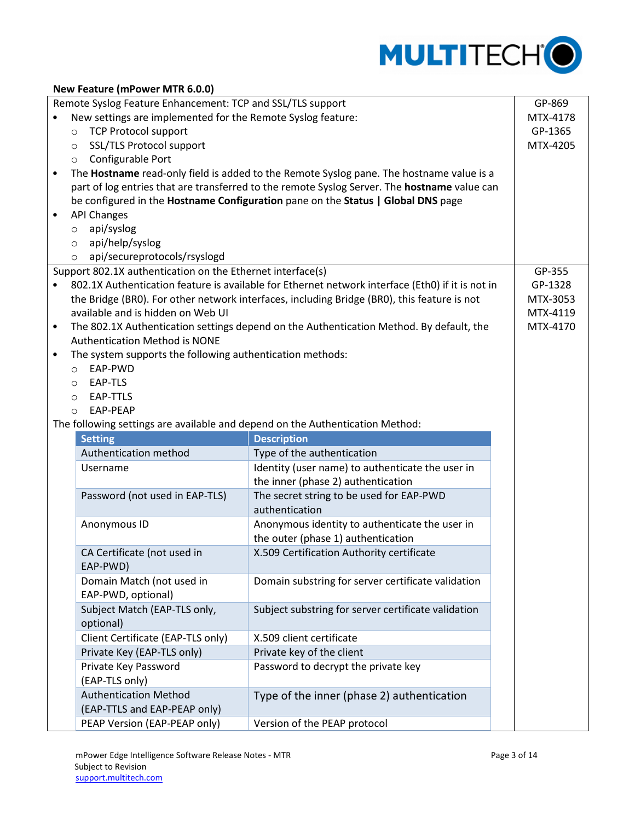

| New Feature (mPower MTR 6.0.0) |                                                             |                                                                                                  |          |  |  |
|--------------------------------|-------------------------------------------------------------|--------------------------------------------------------------------------------------------------|----------|--|--|
|                                | Remote Syslog Feature Enhancement: TCP and SSL/TLS support  |                                                                                                  | GP-869   |  |  |
|                                | New settings are implemented for the Remote Syslog feature: |                                                                                                  | MTX-4178 |  |  |
|                                | <b>TCP Protocol support</b><br>$\circ$                      |                                                                                                  | GP-1365  |  |  |
|                                | SSL/TLS Protocol support<br>$\circ$                         |                                                                                                  | MTX-4205 |  |  |
|                                | Configurable Port<br>$\circ$                                |                                                                                                  |          |  |  |
| $\bullet$                      |                                                             | The Hostname read-only field is added to the Remote Syslog pane. The hostname value is a         |          |  |  |
|                                |                                                             | part of log entries that are transferred to the remote Syslog Server. The hostname value can     |          |  |  |
|                                |                                                             | be configured in the Hostname Configuration pane on the Status   Global DNS page                 |          |  |  |
| $\bullet$                      | <b>API Changes</b>                                          |                                                                                                  |          |  |  |
|                                | api/syslog<br>$\circ$                                       |                                                                                                  |          |  |  |
|                                | api/help/syslog<br>$\circ$                                  |                                                                                                  |          |  |  |
|                                | api/secureprotocols/rsyslogd<br>$\circ$                     |                                                                                                  |          |  |  |
|                                | Support 802.1X authentication on the Ethernet interface(s)  |                                                                                                  | GP-355   |  |  |
|                                |                                                             | 802.1X Authentication feature is available for Ethernet network interface (Eth0) if it is not in | GP-1328  |  |  |
|                                |                                                             | the Bridge (BRO). For other network interfaces, including Bridge (BRO), this feature is not      | MTX-3053 |  |  |
|                                | available and is hidden on Web UI                           |                                                                                                  | MTX-4119 |  |  |
| $\bullet$                      |                                                             | The 802.1X Authentication settings depend on the Authentication Method. By default, the          | MTX-4170 |  |  |
|                                | <b>Authentication Method is NONE</b>                        |                                                                                                  |          |  |  |
| $\bullet$                      | The system supports the following authentication methods:   |                                                                                                  |          |  |  |
|                                | EAP-PWD<br>$\circ$<br>EAP-TLS                               |                                                                                                  |          |  |  |
|                                | O<br>EAP-TTLS                                               |                                                                                                  |          |  |  |
|                                | $\circ$<br>EAP-PEAP<br>$\Omega$                             |                                                                                                  |          |  |  |
|                                |                                                             | The following settings are available and depend on the Authentication Method:                    |          |  |  |
|                                | <b>Setting</b>                                              | <b>Description</b>                                                                               |          |  |  |
|                                | Authentication method                                       | Type of the authentication                                                                       |          |  |  |
|                                | Username                                                    | Identity (user name) to authenticate the user in                                                 |          |  |  |
|                                |                                                             | the inner (phase 2) authentication                                                               |          |  |  |
|                                | Password (not used in EAP-TLS)                              | The secret string to be used for EAP-PWD                                                         |          |  |  |
|                                |                                                             | authentication                                                                                   |          |  |  |
|                                | Anonymous ID                                                | Anonymous identity to authenticate the user in                                                   |          |  |  |
|                                |                                                             | the outer (phase 1) authentication                                                               |          |  |  |
|                                | CA Certificate (not used in                                 | X.509 Certification Authority certificate                                                        |          |  |  |
|                                | EAP-PWD)                                                    |                                                                                                  |          |  |  |
|                                | Domain Match (not used in                                   | Domain substring for server certificate validation                                               |          |  |  |
|                                | EAP-PWD, optional)                                          |                                                                                                  |          |  |  |
|                                | Subject Match (EAP-TLS only,                                | Subject substring for server certificate validation                                              |          |  |  |
|                                | optional)                                                   |                                                                                                  |          |  |  |
|                                | Client Certificate (EAP-TLS only)                           | X.509 client certificate                                                                         |          |  |  |
|                                | Private Key (EAP-TLS only)                                  | Private key of the client                                                                        |          |  |  |
|                                | Private Key Password                                        | Password to decrypt the private key                                                              |          |  |  |
|                                | (EAP-TLS only)                                              |                                                                                                  |          |  |  |
|                                | <b>Authentication Method</b>                                | Type of the inner (phase 2) authentication                                                       |          |  |  |
|                                | (EAP-TTLS and EAP-PEAP only)                                |                                                                                                  |          |  |  |
|                                | PEAP Version (EAP-PEAP only)                                | Version of the PEAP protocol                                                                     |          |  |  |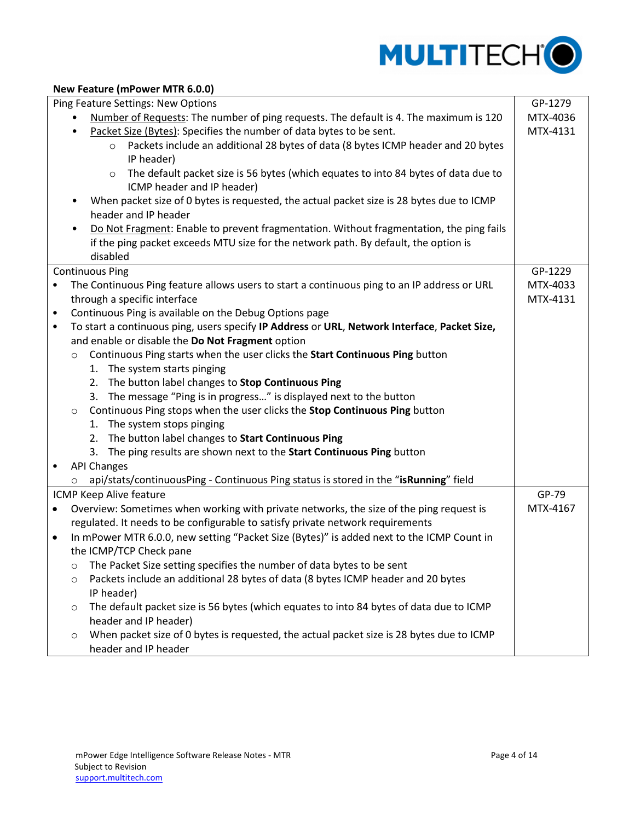

#### **New Feature (mPower MTR 6.0.0)**

| Ping Feature Settings: New Options |                                                                                                     |          |  |  |
|------------------------------------|-----------------------------------------------------------------------------------------------------|----------|--|--|
|                                    | Number of Requests: The number of ping requests. The default is 4. The maximum is 120               | MTX-4036 |  |  |
|                                    | Packet Size (Bytes): Specifies the number of data bytes to be sent.                                 | MTX-4131 |  |  |
|                                    | Packets include an additional 28 bytes of data (8 bytes ICMP header and 20 bytes<br>$\circ$         |          |  |  |
|                                    | IP header)                                                                                          |          |  |  |
|                                    | The default packet size is 56 bytes (which equates to into 84 bytes of data due to<br>$\circ$       |          |  |  |
|                                    | ICMP header and IP header)                                                                          |          |  |  |
|                                    | When packet size of 0 bytes is requested, the actual packet size is 28 bytes due to ICMP            |          |  |  |
|                                    | header and IP header                                                                                |          |  |  |
|                                    | Do Not Fragment: Enable to prevent fragmentation. Without fragmentation, the ping fails             |          |  |  |
|                                    | if the ping packet exceeds MTU size for the network path. By default, the option is                 |          |  |  |
|                                    | disabled                                                                                            |          |  |  |
|                                    | <b>Continuous Ping</b>                                                                              | GP-1229  |  |  |
|                                    | The Continuous Ping feature allows users to start a continuous ping to an IP address or URL         | MTX-4033 |  |  |
|                                    | through a specific interface                                                                        | MTX-4131 |  |  |
| $\bullet$                          | Continuous Ping is available on the Debug Options page                                              |          |  |  |
| $\bullet$                          | To start a continuous ping, users specify IP Address or URL, Network Interface, Packet Size,        |          |  |  |
|                                    | and enable or disable the Do Not Fragment option                                                    |          |  |  |
|                                    | Continuous Ping starts when the user clicks the Start Continuous Ping button<br>$\circ$             |          |  |  |
|                                    | 1. The system starts pinging                                                                        |          |  |  |
|                                    | The button label changes to Stop Continuous Ping<br>2.                                              |          |  |  |
|                                    | 3. The message "Ping is in progress" is displayed next to the button                                |          |  |  |
|                                    | Continuous Ping stops when the user clicks the Stop Continuous Ping button<br>$\circ$               |          |  |  |
|                                    | 1. The system stops pinging                                                                         |          |  |  |
|                                    | 2. The button label changes to Start Continuous Ping                                                |          |  |  |
|                                    | 3. The ping results are shown next to the Start Continuous Ping button                              |          |  |  |
|                                    | <b>API Changes</b>                                                                                  |          |  |  |
|                                    | api/stats/continuousPing - Continuous Ping status is stored in the "isRunning" field<br>O           |          |  |  |
|                                    | ICMP Keep Alive feature                                                                             | GP-79    |  |  |
| $\bullet$                          | Overview: Sometimes when working with private networks, the size of the ping request is             | MTX-4167 |  |  |
|                                    | regulated. It needs to be configurable to satisfy private network requirements                      |          |  |  |
| $\bullet$                          | In mPower MTR 6.0.0, new setting "Packet Size (Bytes)" is added next to the ICMP Count in           |          |  |  |
|                                    | the ICMP/TCP Check pane                                                                             |          |  |  |
|                                    | The Packet Size setting specifies the number of data bytes to be sent<br>$\circ$                    |          |  |  |
|                                    | Packets include an additional 28 bytes of data (8 bytes ICMP header and 20 bytes<br>O               |          |  |  |
|                                    | IP header)                                                                                          |          |  |  |
|                                    | The default packet size is 56 bytes (which equates to into 84 bytes of data due to ICMP<br>$\circ$  |          |  |  |
|                                    | header and IP header)                                                                               |          |  |  |
|                                    | When packet size of 0 bytes is requested, the actual packet size is 28 bytes due to ICMP<br>$\circ$ |          |  |  |
|                                    | header and IP header                                                                                |          |  |  |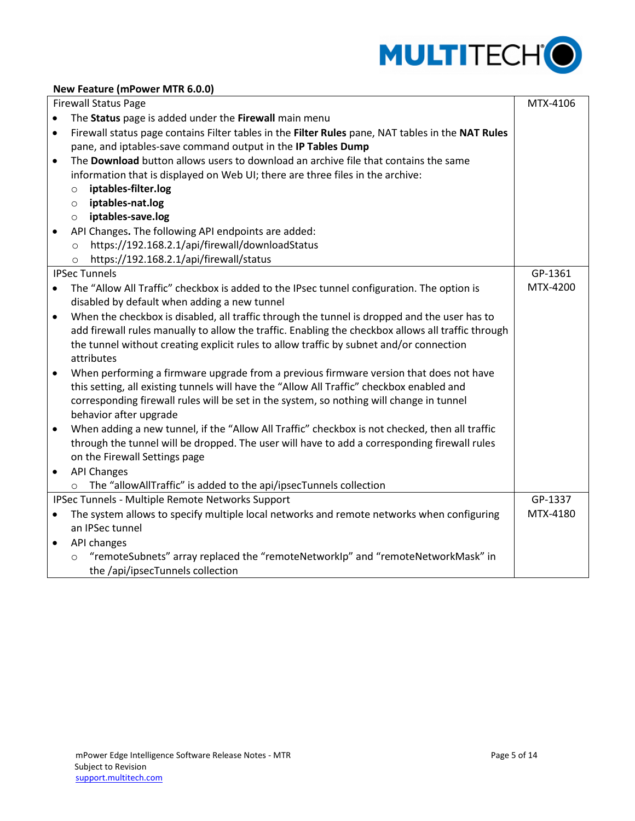

## **New Feature (mPower MTR 6.0.0)**

|           | <b>Firewall Status Page</b>                                                                        | MTX-4106 |
|-----------|----------------------------------------------------------------------------------------------------|----------|
| $\bullet$ | The Status page is added under the Firewall main menu                                              |          |
| $\bullet$ | Firewall status page contains Filter tables in the Filter Rules pane, NAT tables in the NAT Rules  |          |
|           | pane, and iptables-save command output in the IP Tables Dump                                       |          |
| $\bullet$ | The <b>Download</b> button allows users to download an archive file that contains the same         |          |
|           | information that is displayed on Web UI; there are three files in the archive:                     |          |
|           | iptables-filter.log<br>$\circ$                                                                     |          |
|           | iptables-nat.log<br>$\circ$                                                                        |          |
|           | iptables-save.log<br>$\circ$                                                                       |          |
|           | API Changes. The following API endpoints are added:                                                |          |
|           | https://192.168.2.1/api/firewall/downloadStatus<br>$\circ$                                         |          |
|           | https://192.168.2.1/api/firewall/status<br>$\circ$                                                 |          |
|           | <b>IPSec Tunnels</b>                                                                               | GP-1361  |
|           | The "Allow All Traffic" checkbox is added to the IPsec tunnel configuration. The option is         | MTX-4200 |
|           | disabled by default when adding a new tunnel                                                       |          |
| $\bullet$ | When the checkbox is disabled, all traffic through the tunnel is dropped and the user has to       |          |
|           | add firewall rules manually to allow the traffic. Enabling the checkbox allows all traffic through |          |
|           | the tunnel without creating explicit rules to allow traffic by subnet and/or connection            |          |
|           | attributes                                                                                         |          |
| $\bullet$ | When performing a firmware upgrade from a previous firmware version that does not have             |          |
|           | this setting, all existing tunnels will have the "Allow All Traffic" checkbox enabled and          |          |
|           | corresponding firewall rules will be set in the system, so nothing will change in tunnel           |          |
|           | behavior after upgrade                                                                             |          |
| $\bullet$ | When adding a new tunnel, if the "Allow All Traffic" checkbox is not checked, then all traffic     |          |
|           | through the tunnel will be dropped. The user will have to add a corresponding firewall rules       |          |
|           | on the Firewall Settings page                                                                      |          |
| $\bullet$ | <b>API Changes</b>                                                                                 |          |
|           | The "allowAllTraffic" is added to the api/ipsecTunnels collection<br>$\circ$                       |          |
|           | IPSec Tunnels - Multiple Remote Networks Support                                                   | GP-1337  |
|           | The system allows to specify multiple local networks and remote networks when configuring          | MTX-4180 |
|           | an IPSec tunnel                                                                                    |          |
| $\bullet$ | API changes                                                                                        |          |
|           | "remoteSubnets" array replaced the "remoteNetworkIp" and "remoteNetworkMask" in<br>$\circ$         |          |
|           | the /api/ipsecTunnels collection                                                                   |          |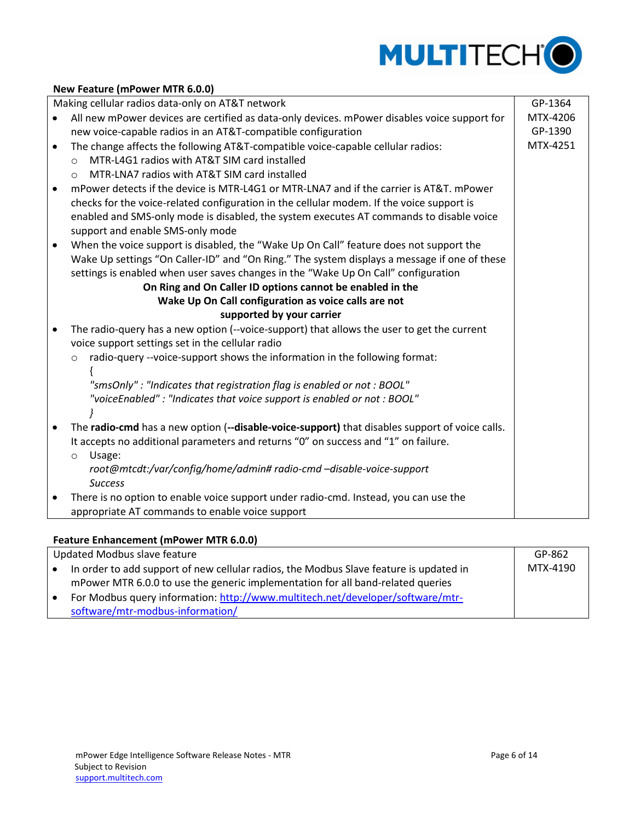

#### **New Feature (mPower MTR 6.0.0)**

Making cellular radios data-only on AT&T network

 All new mPower devices are certified as data-only devices. mPower disables voice support for new voice-capable radios in an AT&T-compatible configuration The change affects the following AT&T-compatible voice-capable cellular radios: o MTR-L4G1 radios with AT&T SIM card installed o MTR-LNA7 radios with AT&T SIM card installed mPower detects if the device is MTR-L4G1 or MTR-LNA7 and if the carrier is AT&T. mPower checks for the voice-related configuration in the cellular modem. If the voice support is enabled and SMS-only mode is disabled, the system executes AT commands to disable voice support and enable SMS-only mode When the voice support is disabled, the "Wake Up On Call" feature does not support the Wake Up settings "On Caller-ID" and "On Ring." The system displays a message if one of these settings is enabled when user saves changes in the "Wake Up On Call" configuration **On Ring and On Caller ID options cannot be enabled in the Wake Up On Call configuration as voice calls are not supported by your carrier** The radio-query has a new option (--voice-support) that allows the user to get the current voice support settings set in the cellular radio o radio-query --voice-support shows the information in the following format: { *"smsOnly" : "Indicates that registration flag is enabled or not : BOOL" "voiceEnabled" : "Indicates that voice support is enabled or not : BOOL" }* The **radio-cmd** has a new option (**--disable-voice-support)** that disables support of voice calls. It accepts no additional parameters and returns "0" on success and "1" on failure. o Usage: *root@mtcdt:/var/config/home/admin# radio-cmd –disable-voice-support Success*  There is no option to enable voice support under radio-cmd. Instead, you can use the appropriate AT commands to enable voice support GP-1364 MTX-4206 GP-1390 MTX-4251

#### <span id="page-5-0"></span>**Feature Enhancement (mPower MTR 6.0.0)**

| Updated Modbus slave feature |                                                                                        | GP-862   |
|------------------------------|----------------------------------------------------------------------------------------|----------|
|                              | In order to add support of new cellular radios, the Modbus Slave feature is updated in | MTX-4190 |
|                              | mPower MTR 6.0.0 to use the generic implementation for all band-related queries        |          |
|                              | For Modbus query information: http://www.multitech.net/developer/software/mtr-         |          |
|                              | software/mtr-modbus-information/                                                       |          |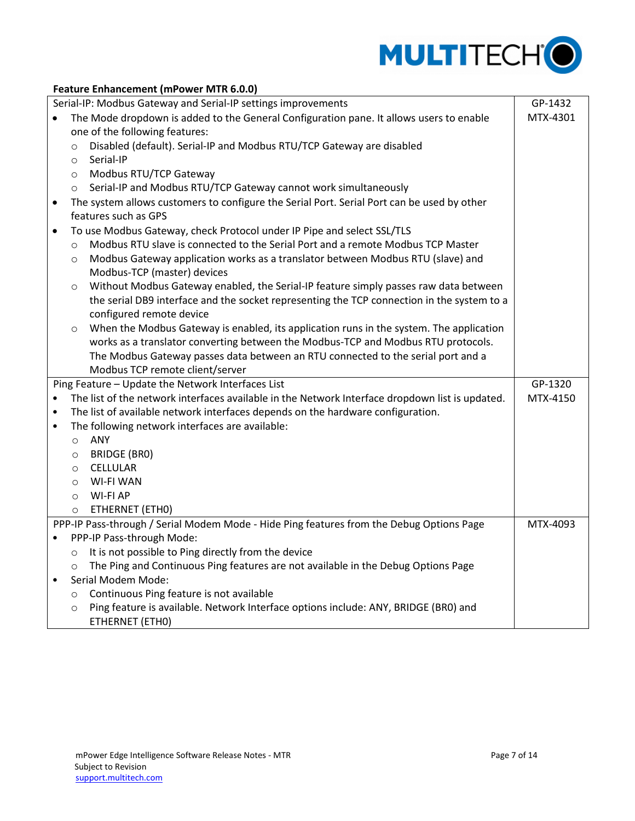

|           | Feature Enhancement (mPower MTR 6.0.0) |                                                                                                 |          |  |
|-----------|----------------------------------------|-------------------------------------------------------------------------------------------------|----------|--|
|           |                                        | Serial-IP: Modbus Gateway and Serial-IP settings improvements                                   | GP-1432  |  |
|           |                                        | The Mode dropdown is added to the General Configuration pane. It allows users to enable         | MTX-4301 |  |
|           |                                        | one of the following features:                                                                  |          |  |
|           | $\circ$                                | Disabled (default). Serial-IP and Modbus RTU/TCP Gateway are disabled                           |          |  |
|           | $\circ$                                | Serial-IP                                                                                       |          |  |
|           | $\circ$                                | Modbus RTU/TCP Gateway                                                                          |          |  |
|           | $\circ$                                | Serial-IP and Modbus RTU/TCP Gateway cannot work simultaneously                                 |          |  |
| $\bullet$ |                                        | The system allows customers to configure the Serial Port. Serial Port can be used by other      |          |  |
|           |                                        | features such as GPS                                                                            |          |  |
| $\bullet$ |                                        | To use Modbus Gateway, check Protocol under IP Pipe and select SSL/TLS                          |          |  |
|           | $\circ$                                | Modbus RTU slave is connected to the Serial Port and a remote Modbus TCP Master                 |          |  |
|           | $\circ$                                | Modbus Gateway application works as a translator between Modbus RTU (slave) and                 |          |  |
|           |                                        | Modbus-TCP (master) devices                                                                     |          |  |
|           | $\circ$                                | Without Modbus Gateway enabled, the Serial-IP feature simply passes raw data between            |          |  |
|           |                                        | the serial DB9 interface and the socket representing the TCP connection in the system to a      |          |  |
|           |                                        | configured remote device                                                                        |          |  |
|           | $\circ$                                | When the Modbus Gateway is enabled, its application runs in the system. The application         |          |  |
|           |                                        | works as a translator converting between the Modbus-TCP and Modbus RTU protocols.               |          |  |
|           |                                        | The Modbus Gateway passes data between an RTU connected to the serial port and a                |          |  |
|           |                                        | Modbus TCP remote client/server                                                                 |          |  |
|           |                                        | Ping Feature - Update the Network Interfaces List                                               | GP-1320  |  |
| $\bullet$ |                                        | The list of the network interfaces available in the Network Interface dropdown list is updated. | MTX-4150 |  |
| $\bullet$ |                                        | The list of available network interfaces depends on the hardware configuration.                 |          |  |
| $\bullet$ |                                        | The following network interfaces are available:                                                 |          |  |
|           | $\circ$                                | ANY                                                                                             |          |  |
|           | $\circ$                                | <b>BRIDGE (BRO)</b>                                                                             |          |  |
|           | $\circ$                                | <b>CELLULAR</b>                                                                                 |          |  |
|           | $\circ$                                | <b>WI-FI WAN</b>                                                                                |          |  |
|           | $\circ$                                | <b>WI-FI AP</b>                                                                                 |          |  |
|           | $\circ$                                | ETHERNET (ETHO)                                                                                 |          |  |
|           |                                        | PPP-IP Pass-through / Serial Modem Mode - Hide Ping features from the Debug Options Page        | MTX-4093 |  |
| $\bullet$ |                                        | PPP-IP Pass-through Mode:                                                                       |          |  |
|           | $\circ$                                | It is not possible to Ping directly from the device                                             |          |  |
|           | $\circ$                                | The Ping and Continuous Ping features are not available in the Debug Options Page               |          |  |
| $\bullet$ |                                        | Serial Modem Mode:                                                                              |          |  |
|           | $\circ$                                | Continuous Ping feature is not available                                                        |          |  |
|           | $\circ$                                | Ping feature is available. Network Interface options include: ANY, BRIDGE (BR0) and             |          |  |

ETHERNET (ETH0)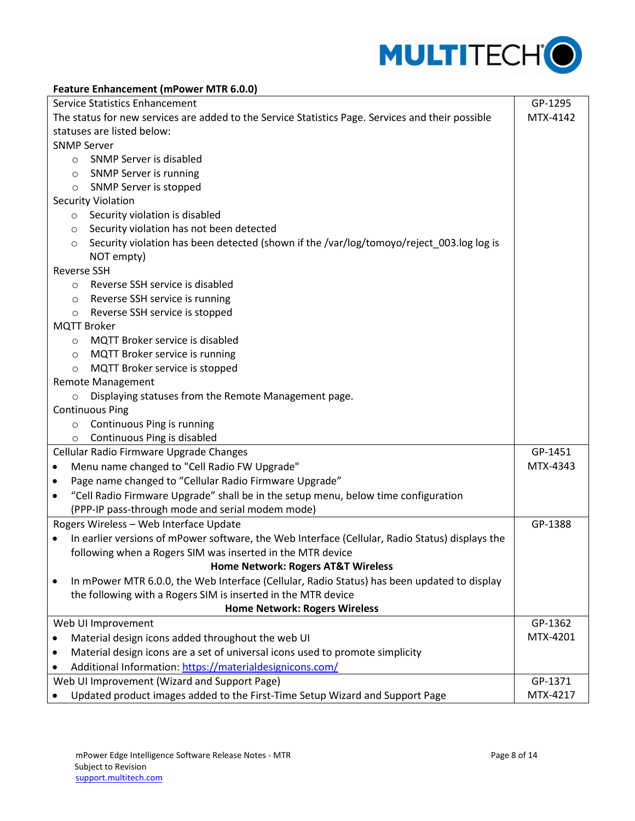

#### **Feature Enhancement (mPower MTR 6.0.0)**

| Service Statistics Enhancement                                                                      |          |  |
|-----------------------------------------------------------------------------------------------------|----------|--|
| The status for new services are added to the Service Statistics Page. Services and their possible   |          |  |
| statuses are listed below:                                                                          |          |  |
| <b>SNMP Server</b>                                                                                  |          |  |
| <b>SNMP Server is disabled</b><br>$\circ$                                                           |          |  |
| SNMP Server is running<br>$\circ$                                                                   |          |  |
| SNMP Server is stopped<br>$\circ$                                                                   |          |  |
| <b>Security Violation</b>                                                                           |          |  |
| Security violation is disabled<br>$\circ$                                                           |          |  |
| Security violation has not been detected<br>O                                                       |          |  |
| Security violation has been detected (shown if the /var/log/tomoyo/reject_003.log log is<br>$\circ$ |          |  |
| NOT empty)                                                                                          |          |  |
| <b>Reverse SSH</b>                                                                                  |          |  |
| Reverse SSH service is disabled<br>$\circ$                                                          |          |  |
| Reverse SSH service is running<br>$\circ$                                                           |          |  |
| Reverse SSH service is stopped<br>$\circ$                                                           |          |  |
| <b>MQTT Broker</b>                                                                                  |          |  |
| <b>MQTT Broker service is disabled</b><br>$\circ$                                                   |          |  |
| MQTT Broker service is running<br>$\circ$                                                           |          |  |
| MQTT Broker service is stopped<br>$\circ$                                                           |          |  |
| <b>Remote Management</b>                                                                            |          |  |
| Displaying statuses from the Remote Management page.<br>$\circ$                                     |          |  |
| <b>Continuous Ping</b>                                                                              |          |  |
| Continuous Ping is running<br>$\circ$                                                               |          |  |
| Continuous Ping is disabled<br>$\circ$                                                              |          |  |
| Cellular Radio Firmware Upgrade Changes                                                             | GP-1451  |  |
| Menu name changed to "Cell Radio FW Upgrade"                                                        | MTX-4343 |  |
| Page name changed to "Cellular Radio Firmware Upgrade"<br>$\bullet$                                 |          |  |
| "Cell Radio Firmware Upgrade" shall be in the setup menu, below time configuration<br>$\bullet$     |          |  |
| (PPP-IP pass-through mode and serial modem mode)                                                    |          |  |
| Rogers Wireless - Web Interface Update                                                              | GP-1388  |  |
| In earlier versions of mPower software, the Web Interface (Cellular, Radio Status) displays the     |          |  |
| following when a Rogers SIM was inserted in the MTR device                                          |          |  |
| Home Network: Rogers AT&T Wireless                                                                  |          |  |
| In mPower MTR 6.0.0, the Web Interface (Cellular, Radio Status) has been updated to display         |          |  |
| the following with a Rogers SIM is inserted in the MTR device                                       |          |  |
| <b>Home Network: Rogers Wireless</b>                                                                |          |  |
| Web UI Improvement                                                                                  | GP-1362  |  |
| Material design icons added throughout the web UI                                                   | MTX-4201 |  |
| Material design icons are a set of universal icons used to promote simplicity                       |          |  |
| Additional Information: https://materialdesignicons.com/                                            |          |  |
| Web UI Improvement (Wizard and Support Page)                                                        | GP-1371  |  |
| Updated product images added to the First-Time Setup Wizard and Support Page                        | MTX-4217 |  |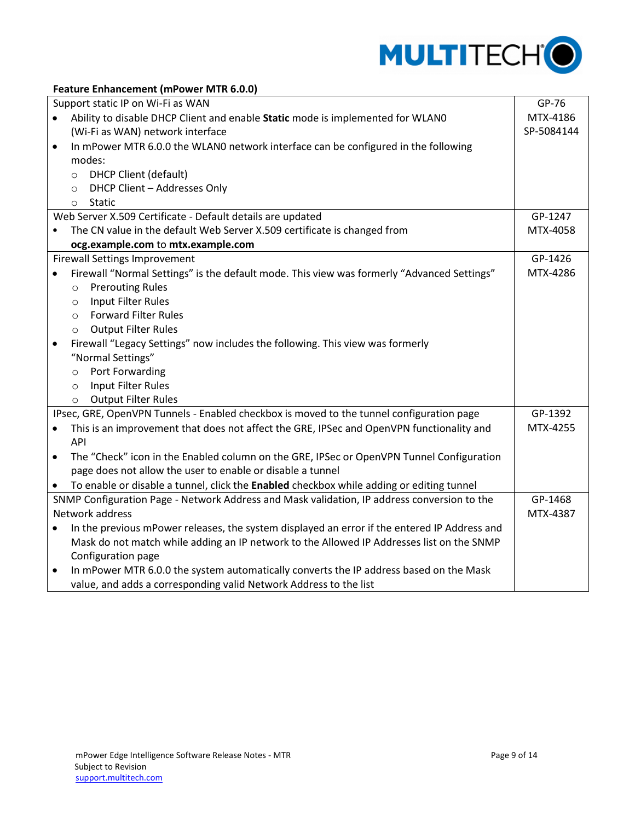

#### **Feature Enhancement (mPower MTR 6.0.0)**

|           | Support static IP on Wi-Fi as WAN                                                            | GP-76      |
|-----------|----------------------------------------------------------------------------------------------|------------|
| $\bullet$ | Ability to disable DHCP Client and enable Static mode is implemented for WLAN0               | MTX-4186   |
|           | (Wi-Fi as WAN) network interface                                                             | SP-5084144 |
| $\bullet$ | In mPower MTR 6.0.0 the WLAN0 network interface can be configured in the following           |            |
|           | modes:                                                                                       |            |
|           | <b>DHCP Client (default)</b><br>$\circ$                                                      |            |
|           | DHCP Client - Addresses Only<br>$\circ$                                                      |            |
|           | <b>Static</b><br>$\circ$                                                                     |            |
|           | Web Server X.509 Certificate - Default details are updated                                   | GP-1247    |
| ٠         | The CN value in the default Web Server X.509 certificate is changed from                     | MTX-4058   |
|           | ocg.example.com to mtx.example.com                                                           |            |
|           | <b>Firewall Settings Improvement</b>                                                         | GP-1426    |
|           | Firewall "Normal Settings" is the default mode. This view was formerly "Advanced Settings"   | MTX-4286   |
|           | <b>Prerouting Rules</b><br>$\circ$                                                           |            |
|           | Input Filter Rules<br>$\circ$                                                                |            |
|           | <b>Forward Filter Rules</b><br>$\circ$                                                       |            |
|           | <b>Output Filter Rules</b><br>$\circ$                                                        |            |
| $\bullet$ | Firewall "Legacy Settings" now includes the following. This view was formerly                |            |
|           | "Normal Settings"                                                                            |            |
|           | Port Forwarding<br>$\circ$                                                                   |            |
|           | Input Filter Rules<br>$\circ$                                                                |            |
|           | <b>Output Filter Rules</b><br>$\circ$                                                        |            |
|           | IPsec, GRE, OpenVPN Tunnels - Enabled checkbox is moved to the tunnel configuration page     | GP-1392    |
| $\bullet$ | This is an improvement that does not affect the GRE, IPSec and OpenVPN functionality and     | MTX-4255   |
|           | API                                                                                          |            |
| $\bullet$ | The "Check" icon in the Enabled column on the GRE, IPSec or OpenVPN Tunnel Configuration     |            |
|           | page does not allow the user to enable or disable a tunnel                                   |            |
|           | To enable or disable a tunnel, click the Enabled checkbox while adding or editing tunnel     |            |
|           | SNMP Configuration Page - Network Address and Mask validation, IP address conversion to the  | GP-1468    |
|           | Network address                                                                              | MTX-4387   |
| $\bullet$ | In the previous mPower releases, the system displayed an error if the entered IP Address and |            |
|           | Mask do not match while adding an IP network to the Allowed IP Addresses list on the SNMP    |            |
|           | Configuration page                                                                           |            |
| $\bullet$ | In mPower MTR 6.0.0 the system automatically converts the IP address based on the Mask       |            |
|           | value, and adds a corresponding valid Network Address to the list                            |            |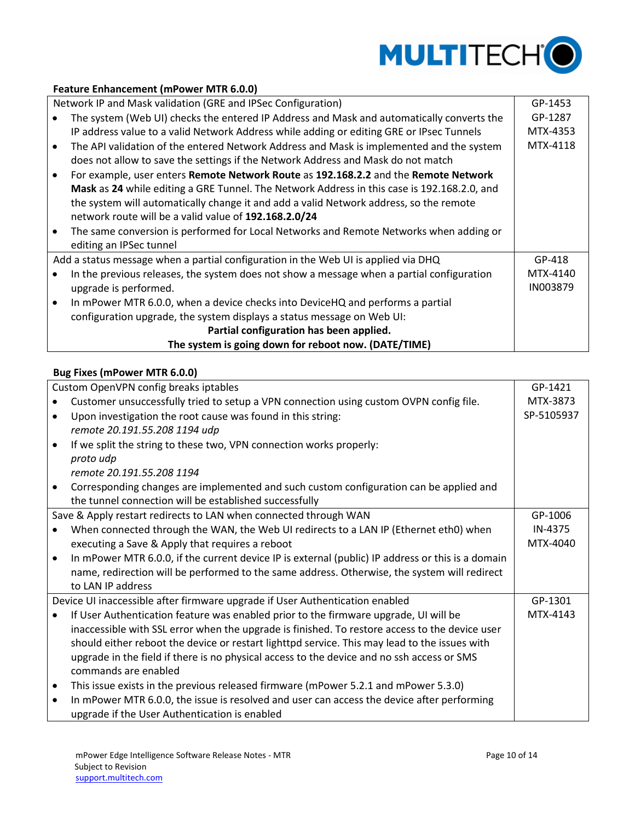

#### **Feature Enhancement (mPower MTR 6.0.0)**

Network IP and Mask validation (GRE and IPSec Configuration)

| Network IP and Mask validation (GRE and IPSec Configuration)                                | GP-1453  |  |
|---------------------------------------------------------------------------------------------|----------|--|
| The system (Web UI) checks the entered IP Address and Mask and automatically converts the   | GP-1287  |  |
| IP address value to a valid Network Address while adding or editing GRE or IPsec Tunnels    | MTX-4353 |  |
| The API validation of the entered Network Address and Mask is implemented and the system    | MTX-4118 |  |
| does not allow to save the settings if the Network Address and Mask do not match            |          |  |
| For example, user enters Remote Network Route as 192.168.2.2 and the Remote Network         |          |  |
| Mask as 24 while editing a GRE Tunnel. The Network Address in this case is 192.168.2.0, and |          |  |
| the system will automatically change it and add a valid Network address, so the remote      |          |  |
| network route will be a valid value of 192.168.2.0/24                                       |          |  |
| The same conversion is performed for Local Networks and Remote Networks when adding or      |          |  |
| editing an IPSec tunnel                                                                     |          |  |
| Add a status message when a partial configuration in the Web UI is applied via DHQ          | GP-418   |  |
| In the previous releases, the system does not show a message when a partial configuration   | MTX-4140 |  |
| upgrade is performed.                                                                       | IN003879 |  |
| In mPower MTR 6.0.0, when a device checks into DeviceHQ and performs a partial              |          |  |
| configuration upgrade, the system displays a status message on Web UI:                      |          |  |
| Partial configuration has been applied.                                                     |          |  |
| The system is going down for reboot now. (DATE/TIME)                                        |          |  |

#### <span id="page-9-0"></span>**Bug Fixes (mPower MTR 6.0.0)**

|           | Custom OpenVPN config breaks iptables                                                             | GP-1421    |
|-----------|---------------------------------------------------------------------------------------------------|------------|
|           | Customer unsuccessfully tried to setup a VPN connection using custom OVPN config file.            | MTX-3873   |
| $\bullet$ | Upon investigation the root cause was found in this string:                                       | SP-5105937 |
|           | remote 20.191.55.208 1194 udp                                                                     |            |
| $\bullet$ | If we split the string to these two, VPN connection works properly:                               |            |
|           | proto udp                                                                                         |            |
|           | remote 20.191.55.208 1194                                                                         |            |
| $\bullet$ | Corresponding changes are implemented and such custom configuration can be applied and            |            |
|           | the tunnel connection will be established successfully                                            |            |
|           | Save & Apply restart redirects to LAN when connected through WAN                                  | GP-1006    |
|           | When connected through the WAN, the Web UI redirects to a LAN IP (Ethernet eth0) when             | IN-4375    |
|           | executing a Save & Apply that requires a reboot                                                   | MTX-4040   |
| $\bullet$ | In mPower MTR 6.0.0, if the current device IP is external (public) IP address or this is a domain |            |
|           | name, redirection will be performed to the same address. Otherwise, the system will redirect      |            |
|           | to LAN IP address                                                                                 |            |
|           | Device UI inaccessible after firmware upgrade if User Authentication enabled                      | GP-1301    |
|           | If User Authentication feature was enabled prior to the firmware upgrade, UI will be              | MTX-4143   |
|           | inaccessible with SSL error when the upgrade is finished. To restore access to the device user    |            |
|           | should either reboot the device or restart lighttpd service. This may lead to the issues with     |            |
|           | upgrade in the field if there is no physical access to the device and no ssh access or SMS        |            |
|           | commands are enabled                                                                              |            |
| $\bullet$ | This issue exists in the previous released firmware (mPower 5.2.1 and mPower 5.3.0)               |            |
| $\bullet$ | In mPower MTR 6.0.0, the issue is resolved and user can access the device after performing        |            |
|           | upgrade if the User Authentication is enabled                                                     |            |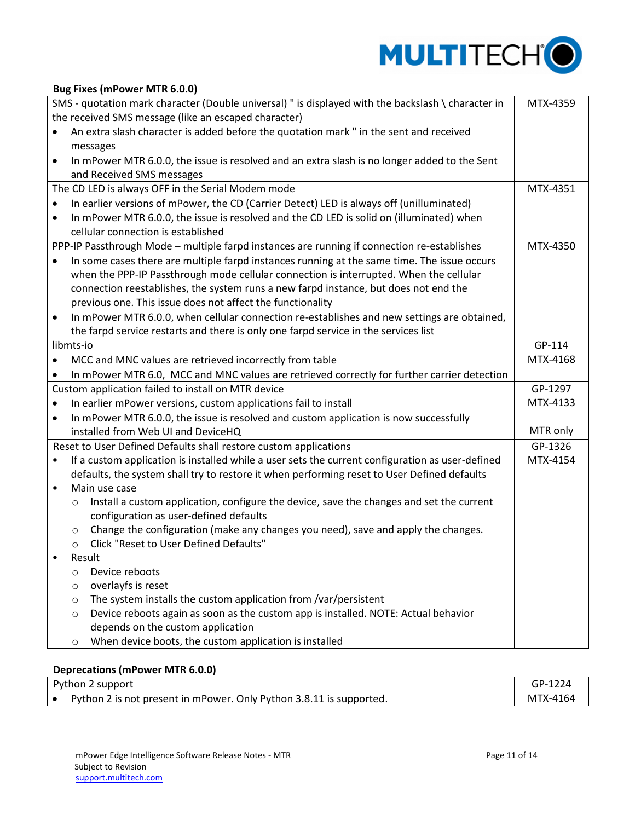

#### **Bug Fixes (mPower MTR 6.0.0)**

| SMS - quotation mark character (Double universal) " is displayed with the backslash \ character in<br>MTX-4359 |                                                                                              |                                                                                                  |          |  |  |  |
|----------------------------------------------------------------------------------------------------------------|----------------------------------------------------------------------------------------------|--------------------------------------------------------------------------------------------------|----------|--|--|--|
| the received SMS message (like an escaped character)                                                           |                                                                                              |                                                                                                  |          |  |  |  |
|                                                                                                                | An extra slash character is added before the quotation mark " in the sent and received       |                                                                                                  |          |  |  |  |
|                                                                                                                |                                                                                              | messages                                                                                         |          |  |  |  |
| $\bullet$                                                                                                      | In mPower MTR 6.0.0, the issue is resolved and an extra slash is no longer added to the Sent |                                                                                                  |          |  |  |  |
|                                                                                                                |                                                                                              | and Received SMS messages                                                                        |          |  |  |  |
| The CD LED is always OFF in the Serial Modem mode<br>MTX-4351                                                  |                                                                                              |                                                                                                  |          |  |  |  |
| $\bullet$                                                                                                      |                                                                                              | In earlier versions of mPower, the CD (Carrier Detect) LED is always off (unilluminated)         |          |  |  |  |
| $\bullet$                                                                                                      |                                                                                              | In mPower MTR 6.0.0, the issue is resolved and the CD LED is solid on (illuminated) when         |          |  |  |  |
|                                                                                                                |                                                                                              | cellular connection is established                                                               |          |  |  |  |
| PPP-IP Passthrough Mode - multiple farpd instances are running if connection re-establishes<br>MTX-4350        |                                                                                              |                                                                                                  |          |  |  |  |
| $\bullet$                                                                                                      |                                                                                              | In some cases there are multiple farpd instances running at the same time. The issue occurs      |          |  |  |  |
|                                                                                                                |                                                                                              | when the PPP-IP Passthrough mode cellular connection is interrupted. When the cellular           |          |  |  |  |
|                                                                                                                |                                                                                              | connection reestablishes, the system runs a new farpd instance, but does not end the             |          |  |  |  |
|                                                                                                                |                                                                                              | previous one. This issue does not affect the functionality                                       |          |  |  |  |
| $\bullet$                                                                                                      |                                                                                              | In mPower MTR 6.0.0, when cellular connection re-establishes and new settings are obtained,      |          |  |  |  |
|                                                                                                                |                                                                                              | the farpd service restarts and there is only one farpd service in the services list              |          |  |  |  |
|                                                                                                                | libmts-io                                                                                    |                                                                                                  | GP-114   |  |  |  |
| $\bullet$                                                                                                      |                                                                                              | MCC and MNC values are retrieved incorrectly from table                                          | MTX-4168 |  |  |  |
| ٠                                                                                                              |                                                                                              | In mPower MTR 6.0, MCC and MNC values are retrieved correctly for further carrier detection      |          |  |  |  |
|                                                                                                                |                                                                                              | Custom application failed to install on MTR device                                               | GP-1297  |  |  |  |
| ٠                                                                                                              |                                                                                              | In earlier mPower versions, custom applications fail to install                                  | MTX-4133 |  |  |  |
| $\bullet$                                                                                                      |                                                                                              | In mPower MTR 6.0.0, the issue is resolved and custom application is now successfully            |          |  |  |  |
|                                                                                                                | installed from Web UI and DeviceHQ                                                           |                                                                                                  |          |  |  |  |
|                                                                                                                |                                                                                              | Reset to User Defined Defaults shall restore custom applications                                 | GP-1326  |  |  |  |
| ٠                                                                                                              |                                                                                              | If a custom application is installed while a user sets the current configuration as user-defined | MTX-4154 |  |  |  |
|                                                                                                                |                                                                                              | defaults, the system shall try to restore it when performing reset to User Defined defaults      |          |  |  |  |
| ٠                                                                                                              |                                                                                              | Main use case                                                                                    |          |  |  |  |
|                                                                                                                | $\circ$                                                                                      | Install a custom application, configure the device, save the changes and set the current         |          |  |  |  |
|                                                                                                                |                                                                                              | configuration as user-defined defaults                                                           |          |  |  |  |
|                                                                                                                | $\circ$                                                                                      | Change the configuration (make any changes you need), save and apply the changes.                |          |  |  |  |
|                                                                                                                | $\circ$                                                                                      | Click "Reset to User Defined Defaults"                                                           |          |  |  |  |
|                                                                                                                |                                                                                              | Result                                                                                           |          |  |  |  |
|                                                                                                                | $\circ$                                                                                      | Device reboots                                                                                   |          |  |  |  |
|                                                                                                                | O                                                                                            | overlayfs is reset                                                                               |          |  |  |  |
|                                                                                                                | $\circ$                                                                                      | The system installs the custom application from /var/persistent                                  |          |  |  |  |
|                                                                                                                | $\circ$                                                                                      | Device reboots again as soon as the custom app is installed. NOTE: Actual behavior               |          |  |  |  |
|                                                                                                                |                                                                                              | depends on the custom application                                                                |          |  |  |  |
|                                                                                                                | $\circ$                                                                                      | When device boots, the custom application is installed                                           |          |  |  |  |

## <span id="page-10-0"></span>**Deprecations (mPower MTR 6.0.0)**

| Python 2 support |                                                                     |          |
|------------------|---------------------------------------------------------------------|----------|
|                  | Python 2 is not present in mPower. Only Python 3.8.11 is supported. | MTX-4164 |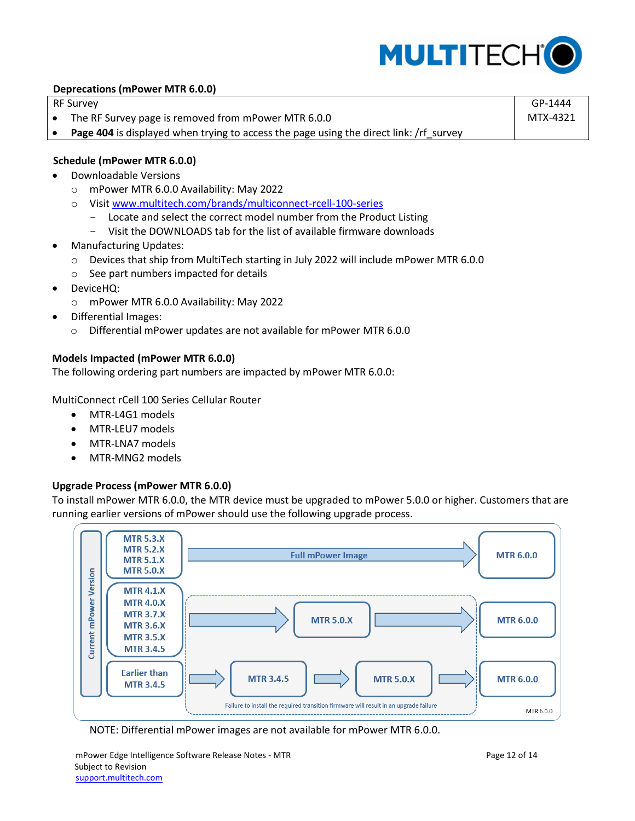

#### **Deprecations (mPower MTR 6.0.0)**

RF Survey

- The RF Survey page is removed from mPower MTR 6.0.0
- Page 404 is displayed when trying to access the page using the direct link: /rf\_survey

#### <span id="page-11-0"></span>**Schedule (mPower MTR 6.0.0)**

- Downloadable Versions
	- o mPower MTR 6.0.0 Availability: May 2022
	- o Visit [www.multitech.com/brands/multiconnect-rcell-100-series](http://www.multitech.com/brands/multiconnect-rcell-100-series)
		- Locate and select the correct model number from the Product Listing
		- Visit the DOWNLOADS tab for the list of available firmware downloads
- Manufacturing Updates:
	- o Devices that ship from MultiTech starting in July 2022 will include mPower MTR 6.0.0
	- o See part numbers impacted for details
- DeviceHQ:
	- o mPower MTR 6.0.0 Availability: May 2022
- Differential Images:
	- o Differential mPower updates are not available for mPower MTR 6.0.0

#### <span id="page-11-1"></span>**Models Impacted (mPower MTR 6.0.0)**

The following ordering part numbers are impacted by mPower MTR 6.0.0:

MultiConnect rCell 100 Series Cellular Router

- MTR-L4G1 models
- MTR-LEU7 models
- MTR-LNA7 models
- MTR-MNG2 models

#### <span id="page-11-2"></span>**Upgrade Process (mPower MTR 6.0.0)**

To install mPower MTR 6.0.0, the MTR device must be upgraded to mPower 5.0.0 or higher. Customers that are running earlier versions of mPower should use the following upgrade process.



NOTE: Differential mPower images are not available for mPower MTR 6.0.0.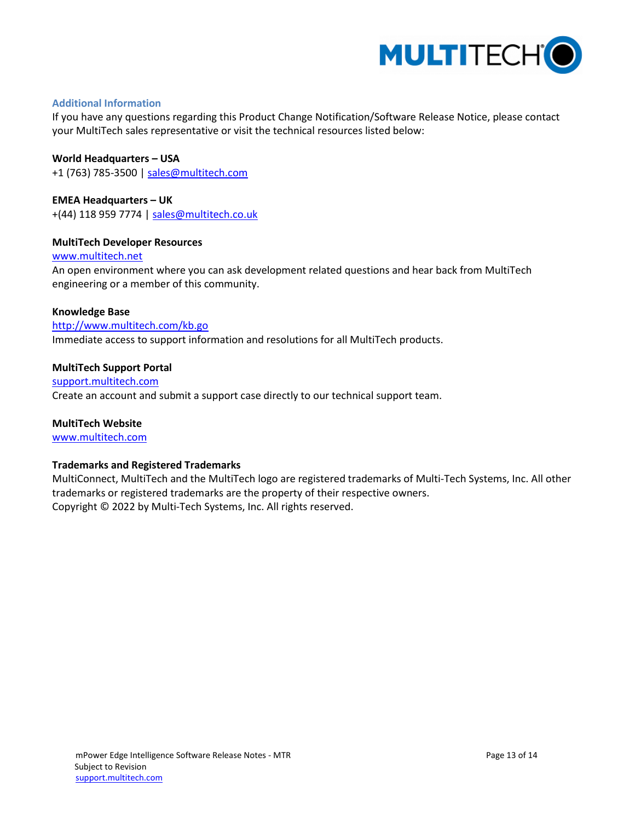

#### **Additional Information**

If you have any questions regarding this Product Change Notification/Software Release Notice, please contact your MultiTech sales representative or visit the technical resources listed below:

**World Headquarters – USA**

+1 (763) 785-3500 | [sales@multitech.com](mailto:sales@multitech.com)

**EMEA Headquarters – UK** +(44) 118 959 7774 | [sales@multitech.co.uk](mailto:sales@multitech.co.uk)

#### **MultiTech Developer Resources**

#### [www.multitech.net](http://www.multitech.net/)

An open environment where you can ask development related questions and hear back from MultiTech engineering or a member of this community.

#### **Knowledge Base**

<http://www.multitech.com/kb.go> Immediate access to support information and resolutions for all MultiTech products.

#### **MultiTech Support Portal**

[support.multitech.com](https://support.multitech.com/) Create an account and submit a support case directly to our technical support team.

**MultiTech Website** [www.multitech.com](http://www.multitech.com/)

#### **Trademarks and Registered Trademarks**

MultiConnect, MultiTech and the MultiTech logo are registered trademarks of Multi-Tech Systems, Inc. All other trademarks or registered trademarks are the property of their respective owners. Copyright © 2022 by Multi-Tech Systems, Inc. All rights reserved.